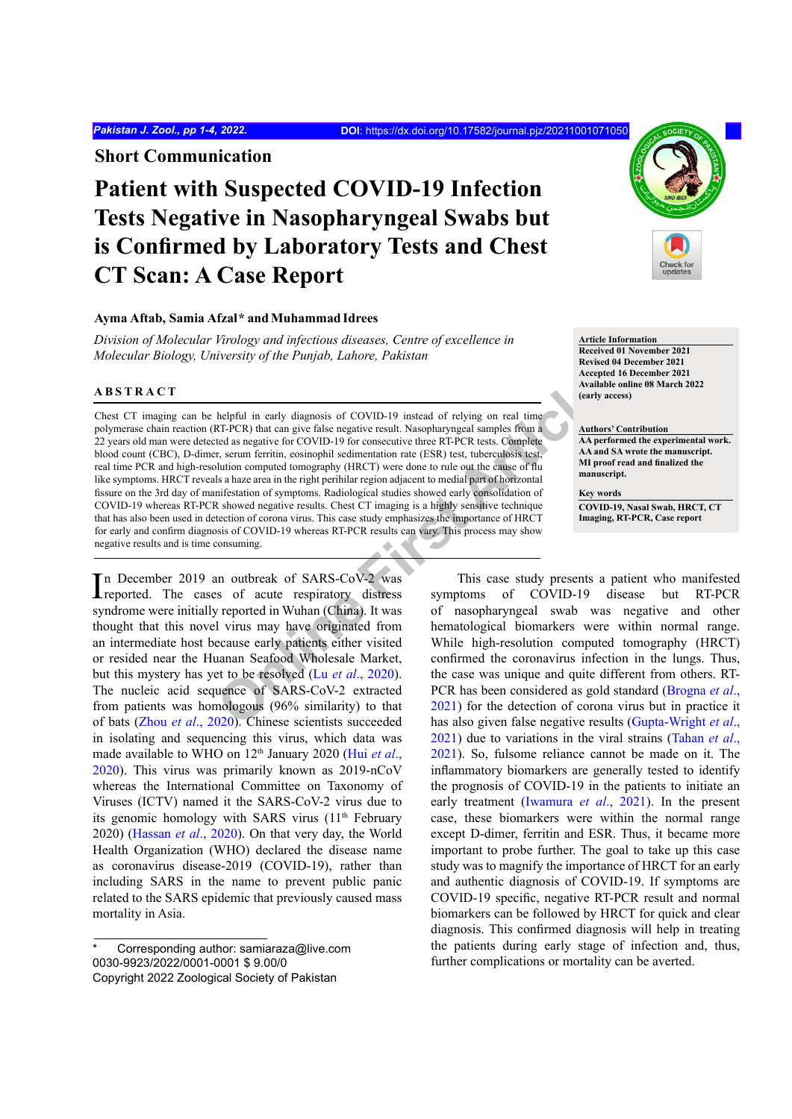**Short Communication**

# **Patient with Suspected COVID-19 Infection Tests Negative in Nasopharyngeal Swabs but is Confirmed by Laboratory Tests and Chest CT Scan: A Case Report**

# **Ayma Aftab, Samia Afzal***\** **andMuhammad Idrees**

*Division of Molecular Virology and infectious diseases, Centre of excellence in Molecular Biology, University of the Punjab, Lahore, Pakistan*

# **ABSTRACT**

**Online First Article** Chest CT imaging can be helpful in early diagnosis of COVID-19 instead of relying on real time polymerase chain reaction (RT-PCR) that can give false negative result. Nasopharyngeal samples from a 22 years old man were detected as negative for COVID-19 for consecutive three RT-PCR tests. Complete blood count (CBC), D-dimer, serum ferritin, eosinophil sedimentation rate (ESR) test, tuberculosis test, real time PCR and high-resolution computed tomography (HRCT) were done to rule out the cause of flu like symptoms. HRCT reveals a haze area in the right perihilar region adjacent to medial part of horizontal fissure on the 3rd day of manifestation of symptoms. Radiological studies showed early consolidation of COVID-19 whereas RT-PCR showed negative results. Chest CT imaging is a highly sensitive technique that has also been used in detection of corona virus. This case study emphasizes the importance of HRCT for early and confirm diagnosis of COVID-19 whereas RT-PCR results can vary. This process may show negative results and is time consuming.

In December 2019 an outbreak of SARS-CoV-2 was<br>reported. The cases of acute respiratory distress reported. The cases of acute respiratory distress syndrome were initially reported in Wuhan (China). It was thought that this novel virus may have originated from an intermediate host because early patients either visited or resided near the Huanan Seafood Wholesale Market, but this mystery has yet to be resolved (Lu *et al*., 2020). The nucleic acid sequence of SARS-CoV-2 extracted from patients was homologous (96% similarity) to that of bats (Zhou *et al*[., 2020\)](#page-3-1). Chinese scientists succeeded in isolating and sequencing this virus, which data was made available to WHO on 12<sup>th</sup> January 2020 [\(Hui](#page-2-0) et al., [2020\)](#page-2-0). This virus was primarily known as 2019-nCoV whereas the International Committee on Taxonomy of Viruses (ICTV) named it the SARS-CoV-2 virus due to its genomic homology with SARS virus (11<sup>th</sup> February 2020) ([Hassan](#page-2-1) *et al*., 2020). On that very day, the World Health Organization (WHO) declared the disease name as coronavirus disease-2019 (COVID-19), rather than including SARS in the name to prevent public panic related to the SARS epidemic that previously caused mass mortality in Asia.



**Article Information Received 01 November 2021 Revised 04 December 2021 Accepted 16 December 2021 Available online 08 March 2022 (early access)**

**Authors' Contribution AA performed the experimental work. AA and SA wrote the manuscript. MI proof read and finalized the manuscript.** 

**Key words COVID-19, Nasal Swab, HRCT, CT Imaging, RT-PCR, Case report**

This case study presents a patient who manifested symptoms of COVID-19 disease but RT-PCR of nasopharyngeal swab was negative and other hematological biomarkers were within normal range. While high-resolution computed tomography (HRCT) confirmed the coronavirus infection in the lungs. Thus, the case was unique and quite different from others. RT-PCR has been considered as gold standard [\(Brogna](#page-2-2) *et al*., 2021) for the detection of corona virus but in practice it has also given false negative results [\(Gupta-Wright](#page-2-3) *et al*., [2021\)](#page-2-3) due to variations in the viral strains [\(Tahan](#page-3-2) *et al*., [2021\)](#page-3-2). So, fulsome reliance cannot be made on it. The inflammatory biomarkers are generally tested to identify the prognosis of COVID-19 in the patients to initiate an early treatment (Iwamura *et al*., 2021). In the present case, these biomarkers were within the normal range except D-dimer, ferritin and ESR. Thus, it became more important to probe further. The goal to take up this case study was to magnify the importance of HRCT for an early and authentic diagnosis of COVID-19. If symptoms are COVID-19 specific, negative RT-PCR result and normal biomarkers can be followed by HRCT for quick and clear diagnosis. This confirmed diagnosis will help in treating the patients during early stage of infection and, thus, further complications or mortality can be averted.

Corresponding author: samiaraza@live.com 0030-9923/2022/0001-0001 \$ 9.00/0 Copyright 2022 Zoological Society of Pakistan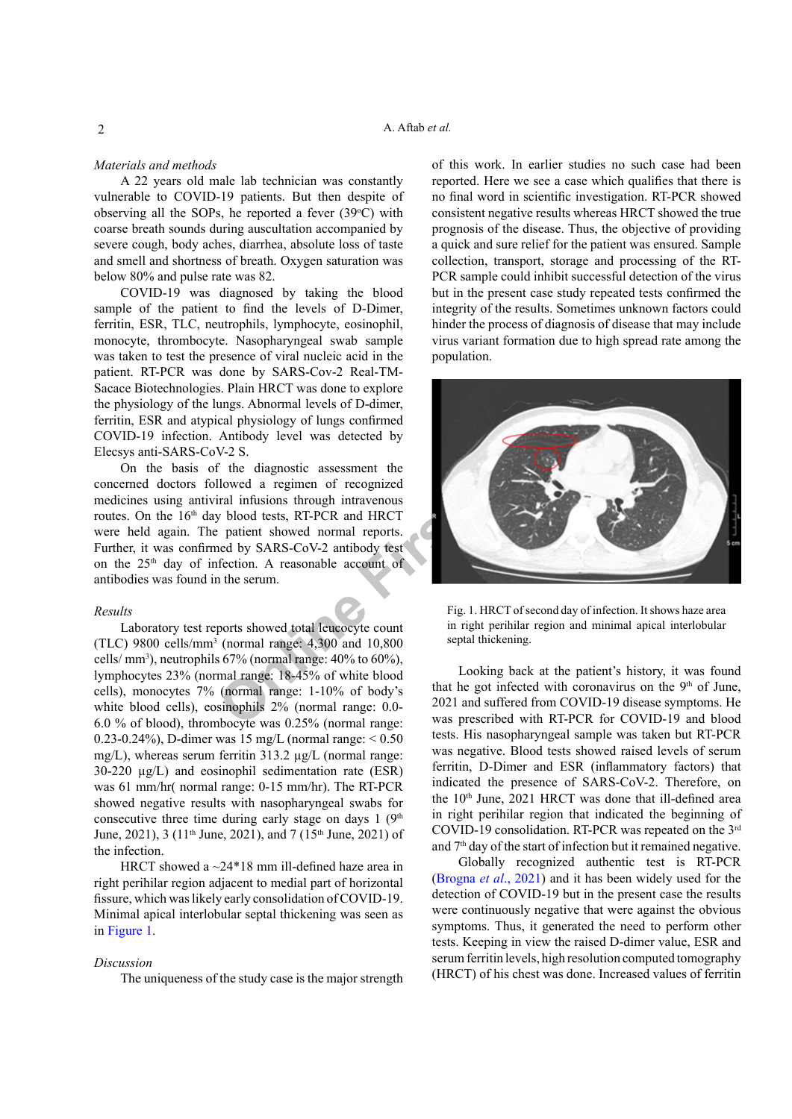### *Materials and methods*

A 22 years old male lab technician was constantly vulnerable to COVID-19 patients. But then despite of observing all the SOPs, he reported a fever  $(39^{\circ}C)$  with coarse breath sounds during auscultation accompanied by severe cough, body aches, diarrhea, absolute loss of taste and smell and shortness of breath. Oxygen saturation was below 80% and pulse rate was 82.

COVID-19 was diagnosed by taking the blood sample of the patient to find the levels of D-Dimer, ferritin, ESR, TLC, neutrophils, lymphocyte, eosinophil, monocyte, thrombocyte. Nasopharyngeal swab sample was taken to test the presence of viral nucleic acid in the patient. RT-PCR was done by SARS-Cov-2 Real-TM-Sacace Biotechnologies. Plain HRCT was done to explore the physiology of the lungs. Abnormal levels of D-dimer, ferritin, ESR and atypical physiology of lungs confirmed COVID-19 infection. Antibody level was detected by Elecsys anti-SARS-CoV-2 S.

On the basis of the diagnostic assessment the concerned doctors followed a regimen of recognized medicines using antiviral infusions through intravenous routes. On the 16<sup>th</sup> day blood tests, RT-PCR and HRCT were held again. The patient showed normal reports. Further, it was confirmed by SARS-CoV-2 antibody test on the  $25<sup>th</sup>$  day of infection. A reasonable account of antibodies was found in the serum.

#### *Results*

Laboratory test reports showed total leucocyte count (TLC) 9800 cells/mm<sup>3</sup> (normal range: 4,300 and 10,800 cells/ mm<sup>3</sup> ), neutrophils 67% (normal range: 40% to 60%), lymphocytes 23% (normal range: 18-45% of white blood cells), monocytes 7% (normal range: 1-10% of body's white blood cells), eosinophils 2% (normal range: 0.0- 6.0 % of blood), thrombocyte was 0.25% (normal range: 0.23-0.24%), D-dimer was 15 mg/L (normal range:  $< 0.50$ ) mg/L), whereas serum ferritin 313.2 µg/L (normal range: 30-220 µg/L) and eosinophil sedimentation rate (ESR) was 61 mm/hr( normal range: 0-15 mm/hr). The RT-PCR showed negative results with nasopharyngeal swabs for consecutive three time during early stage on days  $1 \left( 9<sup>th</sup> \right)$ June, 2021), 3 (11<sup>th</sup> June, 2021), and 7 (15<sup>th</sup> June, 2021) of the infection.

HRCT showed a ~24\*18 mm ill-defined haze area in right perihilar region adjacent to medial part of horizontal fissure, which was likely early consolidation of COVID-19. Minimal apical interlobular septal thickening was seen as in [Figure 1.](#page-1-0)

### *Discussion*

The uniqueness of the study case is the major strength

of this work. In earlier studies no such case had been reported. Here we see a case which qualifies that there is no final word in scientific investigation. RT-PCR showed consistent negative results whereas HRCT showed the true prognosis of the disease. Thus, the objective of providing a quick and sure relief for the patient was ensured. Sample collection, transport, storage and processing of the RT-PCR sample could inhibit successful detection of the virus but in the present case study repeated tests confirmed the integrity of the results. Sometimes unknown factors could hinder the process of diagnosis of disease that may include virus variant formation due to high spread rate among the population.



Fig. 1. HRCT of second day of infection. It shows haze area in right perihilar region and minimal apical interlobular septal thickening.

<span id="page-1-0"></span>Looking back at the patient's history, it was found that he got infected with coronavirus on the 9<sup>th</sup> of June, 2021 and suffered from COVID-19 disease symptoms. He was prescribed with RT-PCR for COVID-19 and blood tests. His nasopharyngeal sample was taken but RT-PCR was negative. Blood tests showed raised levels of serum ferritin, D-Dimer and ESR (inflammatory factors) that indicated the presence of SARS-CoV-2. Therefore, on the 10<sup>th</sup> June, 2021 HRCT was done that ill-defined area in right perihilar region that indicated the beginning of COVID-19 consolidation. RT-PCR was repeated on the 3rd and 7<sup>th</sup> day of the start of infection but it remained negative.

Globally recognized authentic test is RT-PCR [\(Brogna](#page-2-2) *et al*., 2021) and it has been widely used for the detection of COVID-19 but in the present case the results were continuously negative that were against the obvious symptoms. Thus, it generated the need to perform other tests. Keeping in view the raised D-dimer value, ESR and serum ferritin levels, high resolution computed tomography (HRCT) of his chest was done. Increased values of ferritin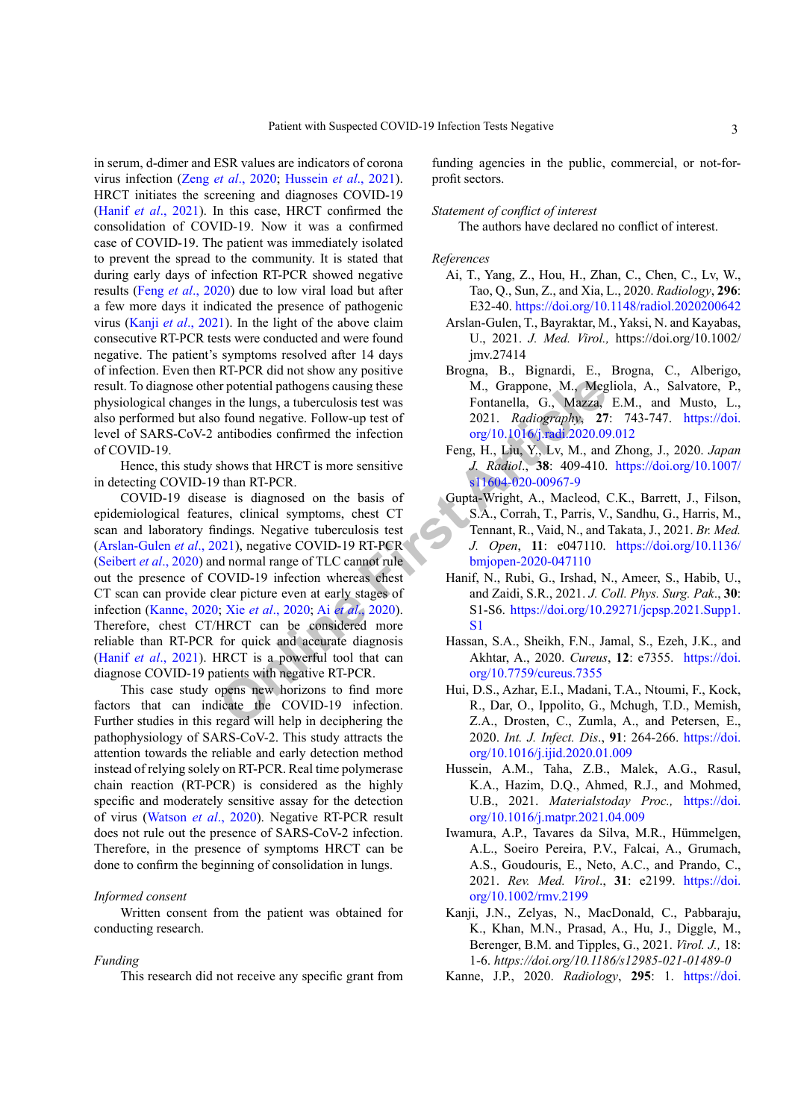in serum, d-dimer and ESR values are indicators of corona virus infection (Zeng et al., 2020; Hussein et al., 2021). HRCT initiates the screening and diagnoses COVID-19 (Hanif et al., 2021). In this case, HRCT confirmed the consolidation of COVID-19. Now it was a confirmed case of COVID-19. The patient was immediately isolated to prevent the spread to the community. It is stated that during early days of infection RT-PCR showed negative results (Feng et al., 2020) due to low viral load but after a few more days it indicated the presence of pathogenic virus (Kanji et al., 2021). In the light of the above claim consecutive RT-PCR tests were conducted and were found negative. The patient's symptoms resolved after 14 days of infection. Even then RT-PCR did not show any positive result. To diagnose other potential pathogens causing these physiological changes in the lungs, a tuberculosis test was also performed but also found negative. Follow-up test of level of SARS-CoV-2 antibodies confirmed the infection of COVID-19.

Hence, this study shows that HRCT is more sensitive in detecting COVID-19 than RT-PCR.

COVID-19 disease is diagnosed on the basis of epidemiological features, clinical symptoms, chest CT scan and laboratory findings. Negative tuberculosis test (Arslan-Gulen et al., 2021), negative COVID-19 RT-PCR (Seibert *et al.*, 2020) and normal range of TLC cannot rule out the presence of COVID-19 infection whereas chest CT scan can provide clear picture even at early stages of infection (Kanne, 2020; Xie et al., 2020; Ai et al., 2020). Therefore, chest CT/HRCT can be considered more reliable than RT-PCR for quick and accurate diagnosis (Hanif et al., 2021). HRCT is a powerful tool that can diagnose COVID-19 patients with negative RT-PCR.

This case study opens new horizons to find more factors that can indicate the COVID-19 infection. Further studies in this regard will help in deciphering the pathophysiology of SARS-CoV-2. This study attracts the attention towards the reliable and early detection method instead of relying solely on RT-PCR. Real time polymerase chain reaction (RT-PCR) is considered as the highly specific and moderately sensitive assay for the detection of virus (Watson et al., 2020). Negative RT-PCR result does not rule out the presence of SARS-CoV-2 infection. Therefore, in the presence of symptoms HRCT can be done to confirm the beginning of consolidation in lungs.

## Informed consent

Written consent from the patient was obtained for conducting research.

#### Funding

This research did not receive any specific grant from

funding agencies in the public, commercial, or not-forprofit sectors.

#### Statement of conflict of interest

The authors have declared no conflict of interest.

## References

- <span id="page-2-9"></span>Ai, T., Yang, Z., Hou, H., Zhan, C., Chen, C., Lv, W., Tao, Q., Sun, Z., and Xia, L., 2020. Radiology, 296: E32-40. https://doi.org/10.1148/radiol.2020200642
- Arslan-Gulen, T., Bayraktar, M., Yaksi, N. and Kayabas, U., 2021. J. Med. Virol., https://doi.org/10.1002/ jmv.27414
- <span id="page-2-2"></span>Brogna, B., Bignardi, E., Brogna, C., Alberigo, M., Grappone, M., Megliola, A., Salvatore, P., Fontanella, G., Mazza, E.M., and Musto, L., 2021. Radiography, 27: 743-747. https://doi. org/10.1016/j.radi.2020.09.012
- <span id="page-2-6"></span>Feng, H., Liu, Y., Lv, M., and Zhong, J., 2020. Japan J. Radiol., 38: 409-410. https://doi.org/10.1007/ s11604-020-00967-9
- <span id="page-2-3"></span>Gupta-Wright, A., Macleod, C.K., Barrett, J., Filson, S.A., Corrah, T., Parris, V., Sandhu, G., Harris, M., Tennant, R., Vaid, N., and Takata, J., 2021. Br. Med. J. Open, 11: e047110. https://doi.org/10.1136/ bmjopen-2020-047110
- <span id="page-2-5"></span>Hanif, N., Rubi, G., Irshad, N., Ameer, S., Habib, U., and Zaidi, S.R., 2021. J. Coll. Phys. Surg. Pak., 30: S1-S6. https://doi.org/10.29271/jcpsp.2021.Supp1.  $S<sub>1</sub>$
- <span id="page-2-1"></span>Hassan, S.A., Sheikh, F.N., Jamal, S., Ezeh, J.K., and Akhtar, A., 2020. Cureus, 12: e7355. https://doi. org/10.7759/cureus.7355
- <span id="page-2-0"></span>Hui, D.S., Azhar, E.I., Madani, T.A., Ntoumi, F., Kock, R., Dar, O., Ippolito, G., Mchugh, T.D., Memish, Z.A., Drosten, C., Zumla, A., and Petersen, E., 2020. Int. J. Infect. Dis., 91: 264-266. https://doi. org/10.1016/i.iiid.2020.01.009
- <span id="page-2-4"></span>Hussein, A.M., Taha, Z.B., Malek, A.G., Rasul, K.A., Hazim, D.Q., Ahmed, R.J., and Mohmed, U.B., 2021. Materialstoday Proc., https://doi. org/10.1016/i.matpr.2021.04.009
- Iwamura, A.P., Tavares da Silva, M.R., Hümmelgen, A.L., Soeiro Pereira, P.V., Falcai, A., Grumach, A.S., Goudouris, E., Neto, A.C., and Prando, C., 2021. Rev. Med. Virol., 31: e2199. https://doi. org/10.1002/rmv.2199
- <span id="page-2-7"></span>Kanji, J.N., Zelyas, N., MacDonald, C., Pabbaraju, K., Khan, M.N., Prasad, A., Hu, J., Diggle, M., Berenger, B.M. and Tipples, G., 2021. Virol. J., 18: 1-6. https://doi.org/10.1186/s12985-021-01489-0
- <span id="page-2-8"></span>Kanne, J.P., 2020. Radiology, 295: 1. https://doi.